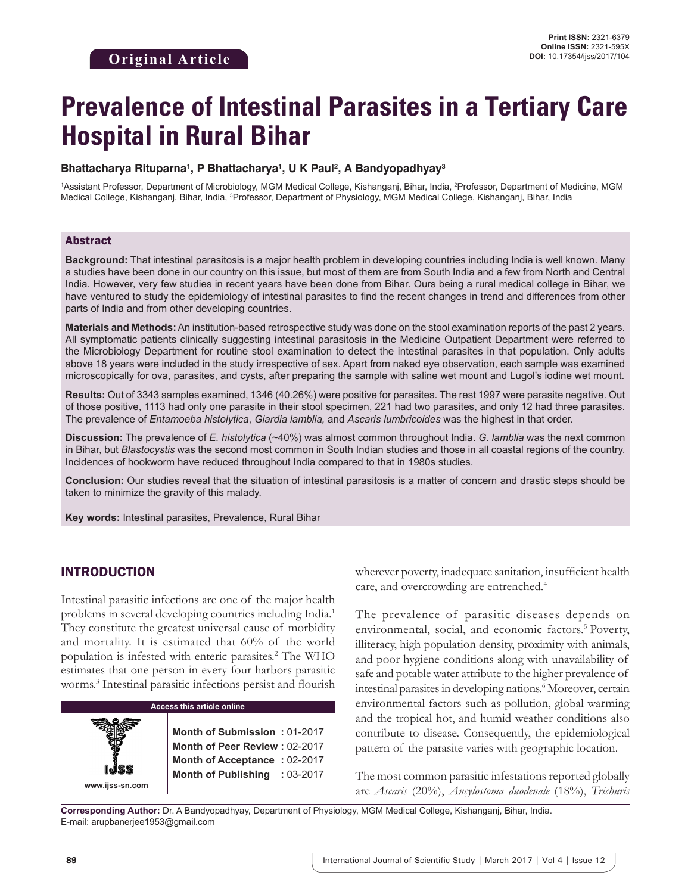# **Prevalence of Intestinal Parasites in a Tertiary Care Hospital in Rural Bihar**

#### **Bhattacharya Rituparna1 , P Bhattacharya1 , U K Paul2 , A Bandyopadhyay3**

1Assistant Professor, Department of Microbiology, MGM Medical College, Kishanganj, Bihar, India, <sup>2</sup>Professor, Department of Medicine, MGM Medical College, Kishanganj, Bihar, India, <sup>3</sup>Professor, Department of Physiology, MGM Medical College, Kishanganj, Bihar, India

### Abstract

**Background:** That intestinal parasitosis is a major health problem in developing countries including India is well known. Many a studies have been done in our country on this issue, but most of them are from South India and a few from North and Central India. However, very few studies in recent years have been done from Bihar. Ours being a rural medical college in Bihar, we have ventured to study the epidemiology of intestinal parasites to find the recent changes in trend and differences from other parts of India and from other developing countries.

**Materials and Methods:** An institution-based retrospective study was done on the stool examination reports of the past 2 years. All symptomatic patients clinically suggesting intestinal parasitosis in the Medicine Outpatient Department were referred to the Microbiology Department for routine stool examination to detect the intestinal parasites in that population. Only adults above 18 years were included in the study irrespective of sex. Apart from naked eye observation, each sample was examined microscopically for ova, parasites, and cysts, after preparing the sample with saline wet mount and Lugol's iodine wet mount.

**Results:** Out of 3343 samples examined, 1346 (40.26%) were positive for parasites. The rest 1997 were parasite negative. Out of those positive, 1113 had only one parasite in their stool specimen, 221 had two parasites, and only 12 had three parasites. The prevalence of *Entamoeba histolytica*, *Giardia lamblia,* and *Ascaris lumbricoides* was the highest in that order.

**Discussion:** The prevalence of *E. histolytica* (~40%) was almost common throughout India. *G. lamblia* was the next common in Bihar, but *Blastocystis* was the second most common in South Indian studies and those in all coastal regions of the country. Incidences of hookworm have reduced throughout India compared to that in 1980s studies.

**Conclusion:** Our studies reveal that the situation of intestinal parasitosis is a matter of concern and drastic steps should be taken to minimize the gravity of this malady.

**Key words:** Intestinal parasites, Prevalence, Rural Bihar

## INTRODUCTION

Intestinal parasitic infections are one of the major health problems in several developing countries including India.<sup>1</sup> They constitute the greatest universal cause of morbidity and mortality. It is estimated that 60% of the world population is infested with enteric parasites.<sup>2</sup> The WHO estimates that one person in every four harbors parasitic worms.<sup>3</sup> Intestinal parasitic infections persist and flourish



wherever poverty, inadequate sanitation, insufficient health care, and overcrowding are entrenched.<sup>4</sup>

The prevalence of parasitic diseases depends on environmental, social, and economic factors.<sup>5</sup> Poverty, illiteracy, high population density, proximity with animals, and poor hygiene conditions along with unavailability of safe and potable water attribute to the higher prevalence of intestinal parasites in developing nations.<sup>6</sup> Moreover, certain environmental factors such as pollution, global warming and the tropical hot, and humid weather conditions also contribute to disease. Consequently, the epidemiological pattern of the parasite varies with geographic location.

The most common parasitic infestations reported globally are *Ascaris* (20%), *Ancylostoma duodenale* (18%), *Trichuris* 

**Corresponding Author:** Dr. A Bandyopadhyay, Department of Physiology, MGM Medical College, Kishanganj, Bihar, India. E-mail: arupbanerjee1953@gmail.com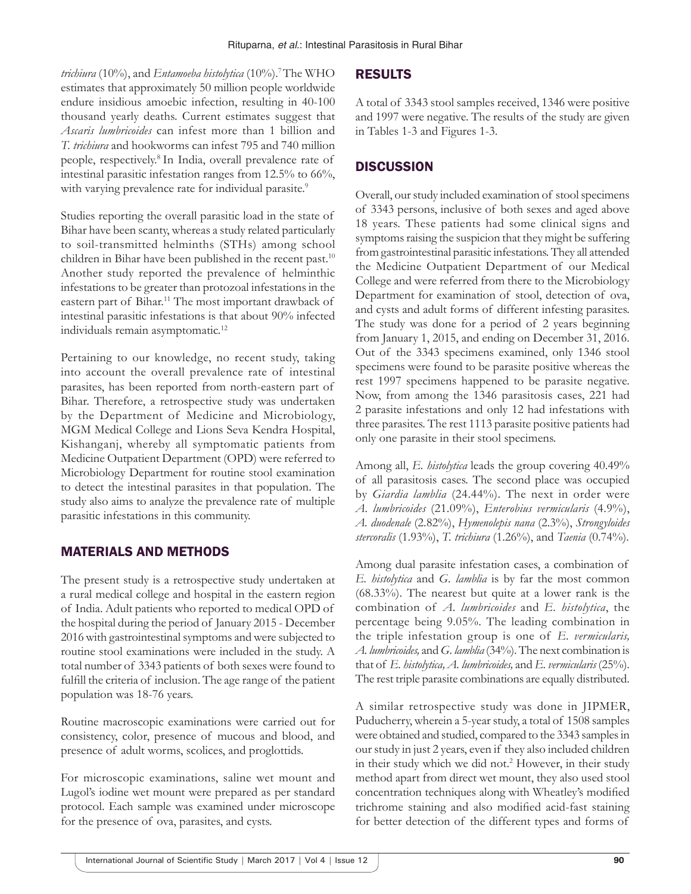*trichiura* (10%), and *Entamoeba histolytica* (10%).7 The WHO estimates that approximately 50 million people worldwide endure insidious amoebic infection, resulting in 40-100 thousand yearly deaths. Current estimates suggest that *Ascaris lumbricoides* can infest more than 1 billion and *T. trichiura* and hookworms can infest 795 and 740 million people, respectively.<sup>8</sup>In India, overall prevalence rate of intestinal parasitic infestation ranges from 12.5% to 66%, with varying prevalence rate for individual parasite.<sup>9</sup>

Studies reporting the overall parasitic load in the state of Bihar have been scanty, whereas a study related particularly to soil-transmitted helminths (STHs) among school children in Bihar have been published in the recent past.<sup>10</sup> Another study reported the prevalence of helminthic infestations to be greater than protozoal infestations in the eastern part of Bihar.<sup>11</sup> The most important drawback of intestinal parasitic infestations is that about 90% infected individuals remain asymptomatic.<sup>12</sup>

Pertaining to our knowledge, no recent study, taking into account the overall prevalence rate of intestinal parasites, has been reported from north-eastern part of Bihar. Therefore, a retrospective study was undertaken by the Department of Medicine and Microbiology, MGM Medical College and Lions Seva Kendra Hospital, Kishanganj, whereby all symptomatic patients from Medicine Outpatient Department (OPD) were referred to Microbiology Department for routine stool examination to detect the intestinal parasites in that population. The study also aims to analyze the prevalence rate of multiple parasitic infestations in this community.

## MATERIALS AND METHODS

The present study is a retrospective study undertaken at a rural medical college and hospital in the eastern region of India. Adult patients who reported to medical OPD of the hospital during the period of January 2015 - December 2016 with gastrointestinal symptoms and were subjected to routine stool examinations were included in the study. A total number of 3343 patients of both sexes were found to fulfill the criteria of inclusion. The age range of the patient population was 18-76 years.

Routine macroscopic examinations were carried out for consistency, color, presence of mucous and blood, and presence of adult worms, scolices, and proglottids.

For microscopic examinations, saline wet mount and Lugol's iodine wet mount were prepared as per standard protocol. Each sample was examined under microscope for the presence of ova, parasites, and cysts.

## RESULTS

A total of 3343 stool samples received, 1346 were positive and 1997 were negative. The results of the study are given in Tables 1-3 and Figures 1-3.

# **DISCUSSION**

Overall, our study included examination of stool specimens of 3343 persons, inclusive of both sexes and aged above 18 years. These patients had some clinical signs and symptoms raising the suspicion that they might be suffering from gastrointestinal parasitic infestations. They all attended the Medicine Outpatient Department of our Medical College and were referred from there to the Microbiology Department for examination of stool, detection of ova, and cysts and adult forms of different infesting parasites. The study was done for a period of 2 years beginning from January 1, 2015, and ending on December 31, 2016. Out of the 3343 specimens examined, only 1346 stool specimens were found to be parasite positive whereas the rest 1997 specimens happened to be parasite negative. Now, from among the 1346 parasitosis cases, 221 had 2 parasite infestations and only 12 had infestations with three parasites. The rest 1113 parasite positive patients had only one parasite in their stool specimens.

Among all, *E. histolytica* leads the group covering 40.49% of all parasitosis cases. The second place was occupied by *Giardia lamblia* (24.44%). The next in order were *A. lumbricoides* (21.09%), *Enterobius vermicularis* (4.9%), *A. duodenale* (2.82%), *Hymenolepis nana* (2.3%), *Strongyloides stercoralis* (1.93%), *T. trichiura* (1.26%), and *Taenia* (0.74%).

Among dual parasite infestation cases, a combination of *E. histolytica* and *G. lamblia* is by far the most common (68.33%). The nearest but quite at a lower rank is the combination of *A. lumbricoides* and *E. histolytica*, the percentage being 9.05%. The leading combination in the triple infestation group is one of *E. vermicularis, A. lumbricoides,* and *G. lamblia* (34%). The next combination is that of *E. histolytica, A. lumbricoides,* and *E. vermicularis* (25%). The rest triple parasite combinations are equally distributed.

A similar retrospective study was done in JIPMER, Puducherry, wherein a 5-year study, a total of 1508 samples were obtained and studied, compared to the 3343 samples in our study in just 2 years, even if they also included children in their study which we did not.<sup>2</sup> However, in their study method apart from direct wet mount, they also used stool concentration techniques along with Wheatley's modified trichrome staining and also modified acid-fast staining for better detection of the different types and forms of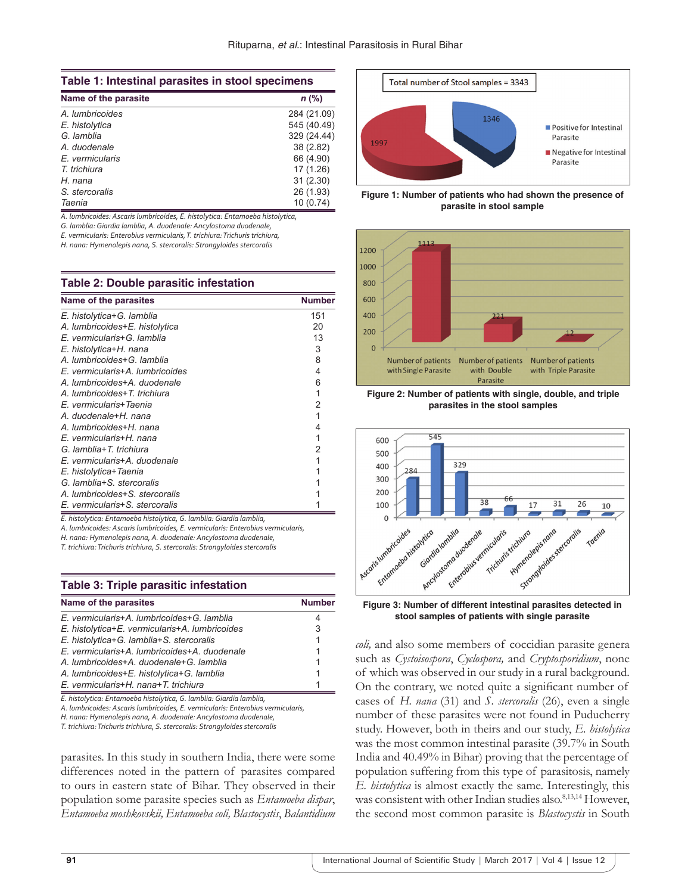| Table 1: Intestinal parasites in stool specimens |  |  |  |
|--------------------------------------------------|--|--|--|
|--------------------------------------------------|--|--|--|

| $n$ (%)     |
|-------------|
| 284 (21.09) |
| 545 (40.49) |
| 329 (24.44) |
| 38 (2.82)   |
| 66 (4.90)   |
| 17(1.26)    |
| 31(2.30)    |
| 26 (1.93)   |
| 10(0.74)    |
|             |

*A. lumbricoides: Ascaris lumbricoides, E. histolytica: Entamoeba histolytica,* 

*G. lamblia: Giardia lamblia, A. duodenale: Ancylostoma duodenale,* 

*E. vermicularis: Enterobius vermicularis, T. trichiura: Trichuris trichiura,* 

*H. nana: Hymenolepis nana, S. stercoralis: Strongyloides stercoralis*

#### **Table 2: Double parasitic infestation**

| Name of the parasites          | <b>Number</b> |
|--------------------------------|---------------|
| E. histolytica+G. lamblia      | 151           |
| A. lumbricoides+E. histolytica | 20            |
| E. vermicularis+G. lamblia     | 13            |
| E. histolytica+H. nana         | 3             |
| A lumbricoides+G lamblia       | 8             |
| F vermicularis+A lumbricoides  | 4             |
| A lumbricoides+A duodenale     | 6             |
| A. lumbricoides+T. trichiura   |               |
| E. vermicularis+Taenia         | 2             |
| A. duodenale+H. nana           |               |
| A. lumbricoides+H. nana        | 4             |
| E. vermicularis+H. nana        |               |
| G. lamblia+T. trichiura        | 2             |
| E. vermicularis+A. duodenale   |               |
| E. histolytica+Taenia          |               |
| G. lamblia+S. stercoralis      |               |
| A. lumbricoides+S. stercoralis |               |
| E. vermicularis+S. stercoralis |               |

*E. histolytica: Entamoeba histolytica, G. lamblia: Giardia lamblia,* 

*A. lumbricoides: Ascaris lumbricoides, E. vermicularis: Enterobius vermicularis,* 

*H. nana: Hymenolepis nana, A. duodenale: Ancylostoma duodenale,* 

*T. trichiura: Trichuris trichiura, S. stercoralis: Strongyloides stercoralis*

#### **Table 3: Triple parasitic infestation**

| Name of the parasites                          | <b>Number</b> |
|------------------------------------------------|---------------|
| E. vermicularis+A. lumbricoides+G. lamblia     | 4             |
| E. histolytica+E. vermicularis+A. lumbricoides | 3             |
| E. histolytica+G. lamblia+S. stercoralis       |               |
| E. vermicularis+A. lumbricoides+A. duodenale   |               |
| A. lumbricoides+A. duodenale+G. lamblia        | 1             |
| A. lumbricoides+E. histolytica+G. lamblia      | 1             |
| E. vermicularis+H. nana+T. trichiura           |               |

*E. histolytica: Entamoeba histolytica, G. lamblia: Giardia lamblia,* 

*A. lumbricoides: Ascaris lumbricoides, E. vermicularis: Enterobius vermicularis,* 

*H. nana: Hymenolepis nana, A. duodenale: Ancylostoma duodenale,* 

*T. trichiura: Trichuris trichiura, S. stercoralis: Strongyloides stercoralis*

parasites. In this study in southern India, there were some differences noted in the pattern of parasites compared to ours in eastern state of Bihar. They observed in their population some parasite species such as *Entamoeba dispar*, *Entamoeba moshkovskii, Entamoeba coli, Blastocystis*, *Balantidium* 



**Figure 1: Number of patients who had shown the presence of parasite in stool sample**



**Figure 2: Number of patients with single, double, and triple parasites in the stool samples**



**Figure 3: Number of different intestinal parasites detected in stool samples of patients with single parasite**

*coli,* and also some members of coccidian parasite genera such as *Cystoisospora*, *Cyclospora,* and *Cryptosporidium*, none of which was observed in our study in a rural background. On the contrary, we noted quite a significant number of cases of *H. nana* (31) and *S. stercoralis* (26), even a single number of these parasites were not found in Puducherry study. However, both in theirs and our study, *E. histolytica*  was the most common intestinal parasite (39.7% in South India and 40.49% in Bihar) proving that the percentage of population suffering from this type of parasitosis, namely *E. histolytica* is almost exactly the same. Interestingly, this was consistent with other Indian studies also. 8,13,14 However, the second most common parasite is *Blastocystis* in South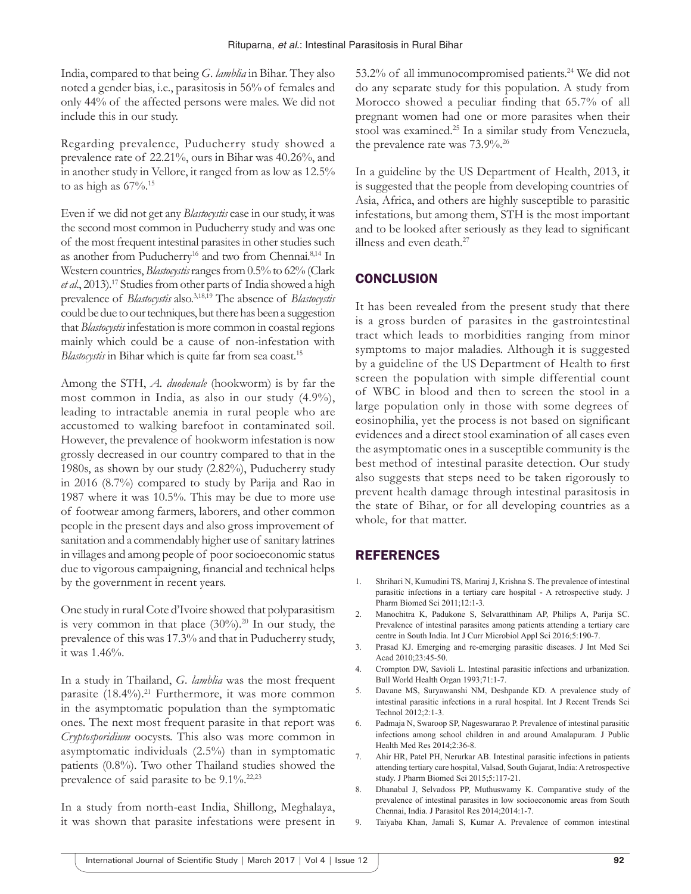India, compared to that being *G. lamblia* in Bihar. They also noted a gender bias, i.e., parasitosis in 56% of females and only 44% of the affected persons were males. We did not include this in our study.

Regarding prevalence, Puducherry study showed a prevalence rate of 22.21%, ours in Bihar was 40.26%, and in another study in Vellore, it ranged from as low as 12.5% to as high as 67%.<sup>15</sup>

Even if we did not get any *Blastocystis* case in our study, it was the second most common in Puducherry study and was one of the most frequent intestinal parasites in other studies such as another from Puducherry<sup>16</sup> and two from Chennai.<sup>8,14</sup> In Western countries, *Blastocystis* ranges from 0.5% to 62% (Clark *et al*., 2013).<sup>17</sup> Studies from other parts of India showed a high prevalence of *Blastocystis* also.3,18,19 The absence of *Blastocystis* could be due to our techniques, but there has been a suggestion that *Blastocystis* infestation is more common in coastal regions mainly which could be a cause of non-infestation with *Blastocystis* in Bihar which is quite far from sea coast.<sup>15</sup>

Among the STH, *A. duodenale* (hookworm) is by far the most common in India, as also in our study (4.9%), leading to intractable anemia in rural people who are accustomed to walking barefoot in contaminated soil. However, the prevalence of hookworm infestation is now grossly decreased in our country compared to that in the 1980s, as shown by our study (2.82%), Puducherry study in 2016 (8.7%) compared to study by Parija and Rao in 1987 where it was 10.5%. This may be due to more use of footwear among farmers, laborers, and other common people in the present days and also gross improvement of sanitation and a commendably higher use of sanitary latrines in villages and among people of poor socioeconomic status due to vigorous campaigning, financial and technical helps by the government in recent years.

One study in rural Cote d'Ivoire showed that polyparasitism is very common in that place  $(30\%)$ .<sup>20</sup> In our study, the prevalence of this was 17.3% and that in Puducherry study, it was 1.46%.

In a study in Thailand, *G. lamblia* was the most frequent parasite (18.4%).<sup>21</sup> Furthermore, it was more common in the asymptomatic population than the symptomatic ones. The next most frequent parasite in that report was *Cryptosporidium* oocysts. This also was more common in asymptomatic individuals (2.5%) than in symptomatic patients (0.8%). Two other Thailand studies showed the prevalence of said parasite to be 9.1%.<sup>22,23</sup>

In a study from north-east India, Shillong, Meghalaya, it was shown that parasite infestations were present in 53.2% of all immunocompromised patients.24 We did not do any separate study for this population. A study from Morocco showed a peculiar finding that 65.7% of all pregnant women had one or more parasites when their stool was examined.<sup>25</sup> In a similar study from Venezuela, the prevalence rate was 73.9%.<sup>26</sup>

In a guideline by the US Department of Health, 2013, it is suggested that the people from developing countries of Asia, Africa, and others are highly susceptible to parasitic infestations, but among them, STH is the most important and to be looked after seriously as they lead to significant illness and even death.<sup>27</sup>

# **CONCLUSION**

It has been revealed from the present study that there is a gross burden of parasites in the gastrointestinal tract which leads to morbidities ranging from minor symptoms to major maladies. Although it is suggested by a guideline of the US Department of Health to first screen the population with simple differential count of WBC in blood and then to screen the stool in a large population only in those with some degrees of eosinophilia, yet the process is not based on significant evidences and a direct stool examination of all cases even the asymptomatic ones in a susceptible community is the best method of intestinal parasite detection. Our study also suggests that steps need to be taken rigorously to prevent health damage through intestinal parasitosis in the state of Bihar, or for all developing countries as a whole, for that matter.

## REFERENCES

- 1. Shrihari N, Kumudini TS, Mariraj J, Krishna S. The prevalence of intestinal parasitic infections in a tertiary care hospital - A retrospective study. J Pharm Biomed Sci 2011;12:1-3*.*
- 2. Manochitra K, Padukone S, Selvaratthinam AP, Philips A, Parija SC. Prevalence of intestinal parasites among patients attending a tertiary care centre in South India. Int J Curr Microbiol Appl Sci 2016;5:190-7.
- 3. Prasad KJ. Emerging and re-emerging parasitic diseases. J Int Med Sci Acad 2010;23:45-50.
- 4. Crompton DW, Savioli L. Intestinal parasitic infections and urbanization. Bull World Health Organ 1993;71:1-7.
- 5. Davane MS, Suryawanshi NM, Deshpande KD. A prevalence study of intestinal parasitic infections in a rural hospital. Int J Recent Trends Sci Technol 2012;2:1-3.
- Padmaja N, Swaroop SP, Nageswararao P. Prevalence of intestinal parasitic infections among school children in and around Amalapuram. J Public Health Med Res 2014;2:36-8.
- 7. Ahir HR, Patel PH, Nerurkar AB. Intestinal parasitic infections in patients attending tertiary care hospital, Valsad, South Gujarat, India: Aretrospective study. J Pharm Biomed Sci 2015;5:117-21.
- 8. Dhanabal J, Selvadoss PP, Muthuswamy K. Comparative study of the prevalence of intestinal parasites in low socioeconomic areas from South Chennai, India. J Parasitol Res 2014;2014:1-7.
- 9. Taiyaba Khan, Jamali S, Kumar A. Prevalence of common intestinal